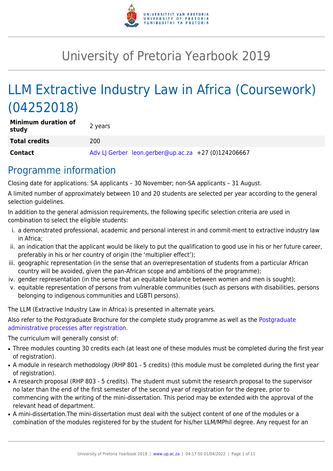

# University of Pretoria Yearbook 2019

# LLM Extractive Industry Law in Africa (Coursework) (04252018)

| <b>Minimum duration of</b><br>study | 2 years                                             |
|-------------------------------------|-----------------------------------------------------|
| <b>Total credits</b>                | 200                                                 |
| <b>Contact</b>                      | Adv LJ Gerber leon.gerber@up.ac.za +27 (0)124206667 |

### Programme information

Closing date for applications: SA applicants – 30 November; non-SA applicants – 31 August.

A limited number of approximately between 10 and 20 students are selected per year according to the general selection guidelines.

In addition to the general admission requirements, the following specific selection criteria are used in combination to select the eligible students:

- i. a demonstrated professional, academic and personal interest in and commit-ment to extractive industry law in Africa;
- ii. an indication that the applicant would be likely to put the qualification to good use in his or her future career, preferably in his or her country of origin (the 'multiplier effect');
- iii. geographic representation (in the sense that an overrepresentation of students from a particular African country will be avoided, given the pan-African scope and ambitions of the programme);
- iv. gender representation (in the sense that an equitable balance between women and men is sought);
- v. equitable representation of persons from vulnerable communities (such as persons with disabilities, persons belonging to indigenous communities and LGBTI persons).

The LLM (Extractive Industry Law in Africa) is presented in alternate years.

Also refer to the [Postgraduate](http://www.up.ac.za/media/shared/10/ZP_Files/post-graduate-administrative-processes-brochures-for-the-faculty-web.zp124870.pdf) Brochure for the complete study programme as well as the Postgraduate [administrative processes after registration.](http://www.up.ac.za/media/shared/10/ZP_Files/post-graduate-administrative-processes-brochures-for-the-faculty-web.zp124870.pdf)

The curriculum will generally consist of:

- Three modules counting 30 credits each (at least one of these modules must be completed during the first year of registration).
- A module in research methodology (RHP 801 5 credits) (this module must be completed during the first year of registration).
- A research proposal (RHP 803 5 credits). The student must submit the research proposal to the supervisor no later than the end of the first semester of the second year of registration for the degree, prior to commencing with the writing of the mini-dissertation. This period may be extended with the approval of the relevant head of department.
- A mini-dissertation. The mini-dissertation must deal with the subject content of one of the modules or a combination of the modules registered for by the student for his/her LLM/MPhil degree. Any request for an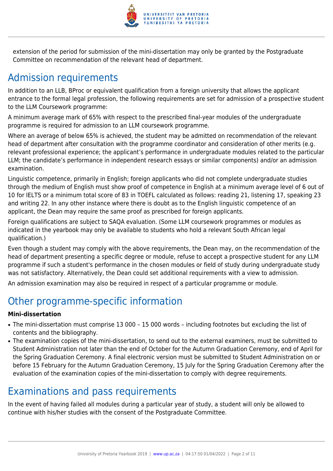

extension of the period for submission of the mini-dissertation may only be granted by the Postgraduate Committee on recommendation of the relevant head of department.

## Admission requirements

In addition to an LLB, BProc or equivalent qualification from a foreign university that allows the applicant entrance to the formal legal profession, the following requirements are set for admission of a prospective student to the LLM Coursework programme:

A minimum average mark of 65% with respect to the prescribed final-year modules of the undergraduate programme is required for admission to an LLM coursework programme.

Where an average of below 65% is achieved, the student may be admitted on recommendation of the relevant head of department after consultation with the programme coordinator and consideration of other merits (e.g. relevant professional experience; the applicant's performance in undergraduate modules related to the particular LLM; the candidate's performance in independent research essays or similar components) and/or an admission examination.

Linguistic competence, primarily in English; foreign applicants who did not complete undergraduate studies through the medium of English must show proof of competence in English at a minimum average level of 6 out of 10 for IELTS or a minimum total score of 83 in TOEFL calculated as follows: reading 21, listening 17, speaking 23 and writing 22. In any other instance where there is doubt as to the English linguistic competence of an applicant, the Dean may require the same proof as prescribed for foreign applicants.

Foreign qualifications are subject to SAQA evaluation. (Some LLM coursework programmes or modules as indicated in the yearbook may only be available to students who hold a relevant South African legal qualification.)

Even though a student may comply with the above requirements, the Dean may, on the recommendation of the head of department presenting a specific degree or module, refuse to accept a prospective student for any LLM programme if such a student's performance in the chosen modules or field of study during undergraduate study was not satisfactory. Alternatively, the Dean could set additional requirements with a view to admission.

An admission examination may also be required in respect of a particular programme or module.

### Other programme-specific information

#### **Mini-dissertation**

- The mini-dissertation must comprise 13 000 15 000 words including footnotes but excluding the list of contents and the bibliography.
- The examination copies of the mini-dissertation, to send out to the external examiners, must be submitted to Student Administration not later than the end of October for the Autumn Graduation Ceremony, end of April for the Spring Graduation Ceremony. A final electronic version must be submitted to Student Administration on or before 15 February for the Autumn Graduation Ceremony, 15 July for the Spring Graduation Ceremony after the evaluation of the examination copies of the mini-dissertation to comply with degree requirements.

### Examinations and pass requirements

In the event of having failed all modules during a particular year of study, a student will only be allowed to continue with his/her studies with the consent of the Postgraduate Committee.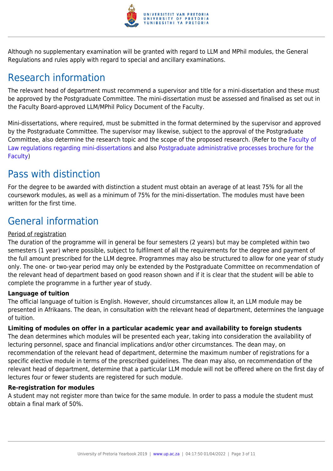

Although no supplementary examination will be granted with regard to LLM and MPhil modules, the General Regulations and rules apply with regard to special and ancillary examinations.

### Research information

The relevant head of department must recommend a supervisor and title for a mini-dissertation and these must be approved by the Postgraduate Committee. The mini-dissertation must be assessed and finalised as set out in the Faculty Board-approved LLM/MPhil Policy Document of the Faculty.

Mini-dissertations, where required, must be submitted in the format determined by the supervisor and approved by the Postgraduate Committee. The supervisor may likewise, subject to the approval of the Postgraduate Committee, also determine the research topic and the scope of the proposed research. (Refer to the [Faculty of](http://www.up.ac.za/media/shared/10/ZP_Files/faculty-regulations-for-the-mini-dissertation.zp124872.pdf) [Law regulations regarding mini-dissertations](http://www.up.ac.za/media/shared/10/ZP_Files/faculty-regulations-for-the-mini-dissertation.zp124872.pdf) and also [Postgraduate administrative processes brochure for the](http://www.up.ac.za/media/shared/10/ZP_Files/post-graduate-administrative-processes-brochures-for-the-faculty-web.zp124870.pdf) [Faculty](http://www.up.ac.za/media/shared/10/ZP_Files/post-graduate-administrative-processes-brochures-for-the-faculty-web.zp124870.pdf))

### Pass with distinction

For the degree to be awarded with distinction a student must obtain an average of at least 75% for all the coursework modules, as well as a minimum of 75% for the mini-dissertation. The modules must have been written for the first time.

## General information

#### Period of registration

The duration of the programme will in general be four semesters (2 years) but may be completed within two semesters (1 year) where possible, subject to fulfilment of all the requirements for the degree and payment of the full amount prescribed for the LLM degree. Programmes may also be structured to allow for one year of study only. The one- or two-year period may only be extended by the Postgraduate Committee on recommendation of the relevant head of department based on good reason shown and if it is clear that the student will be able to complete the programme in a further year of study.

#### **Language of tuition**

The official language of tuition is English. However, should circumstances allow it, an LLM module may be presented in Afrikaans. The dean, in consultation with the relevant head of department, determines the language of tuition.

#### **Limiting of modules on offer in a particular academic year and availability to foreign students**

The dean determines which modules will be presented each year, taking into consideration the availability of lecturing personnel, space and financial implications and/or other circumstances. The dean may, on recommendation of the relevant head of department, determine the maximum number of registrations for a specific elective module in terms of the prescribed guidelines. The dean may also, on recommendation of the relevant head of department, determine that a particular LLM module will not be offered where on the first day of lectures four or fewer students are registered for such module.

#### **Re-registration for modules**

A student may not register more than twice for the same module. In order to pass a module the student must obtain a final mark of 50%.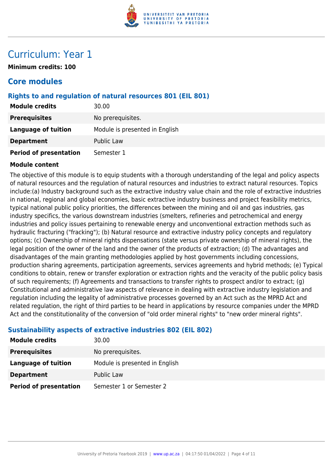

### Curriculum: Year 1

**Minimum credits: 100**

### **Core modules**

#### **Rights to and regulation of natural resources 801 (EIL 801)**

| <b>Module credits</b>         | 30.00                          |
|-------------------------------|--------------------------------|
| <b>Prerequisites</b>          | No prerequisites.              |
| <b>Language of tuition</b>    | Module is presented in English |
| <b>Department</b>             | <b>Public Law</b>              |
| <b>Period of presentation</b> | Semester 1                     |

#### **Module content**

The objective of this module is to equip students with a thorough understanding of the legal and policy aspects of natural resources and the regulation of natural resources and industries to extract natural resources. Topics include:(a) Industry background such as the extractive industry value chain and the role of extractive industries in national, regional and global economies, basic extractive industry business and project feasibility metrics, typical national public policy priorities, the differences between the mining and oil and gas industries, gas industry specifics, the various downstream industries (smelters, refineries and petrochemical and energy industries and policy issues pertaining to renewable energy and unconventional extraction methods such as hydraulic fracturing ("fracking"); (b) Natural resource and extractive industry policy concepts and regulatory options; (c) Ownership of mineral rights dispensations (state versus private ownership of mineral rights), the legal position of the owner of the land and the owner of the products of extraction; (d) The advantages and disadvantages of the main granting methodologies applied by host governments including concessions, production sharing agreements, participation agreements, services agreements and hybrid methods; (e) Typical conditions to obtain, renew or transfer exploration or extraction rights and the veracity of the public policy basis of such requirements; (f) Agreements and transactions to transfer rights to prospect and/or to extract; (g) Constitutional and administrative law aspects of relevance in dealing with extractive industry legislation and regulation including the legality of administrative processes governed by an Act such as the MPRD Act and related regulation, the right of third parties to be heard in applications by resource companies under the MPRD Act and the constitutionality of the conversion of "old order mineral rights" to "new order mineral rights".

#### **Sustainability aspects of extractive industries 802 (EIL 802)**

| <b>Module credits</b>         | 30.00                          |
|-------------------------------|--------------------------------|
| <b>Prerequisites</b>          | No prerequisites.              |
| Language of tuition           | Module is presented in English |
| <b>Department</b>             | <b>Public Law</b>              |
| <b>Period of presentation</b> | Semester 1 or Semester 2       |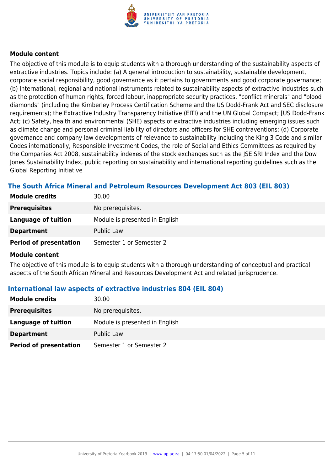

The objective of this module is to equip students with a thorough understanding of the sustainability aspects of extractive industries. Topics include: (a) A general introduction to sustainability, sustainable development, corporate social responsibility, good governance as it pertains to governments and good corporate governance; (b) International, regional and national instruments related to sustainability aspects of extractive industries such as the protection of human rights, forced labour, inappropriate security practices, "conflict minerals" and "blood diamonds" (including the Kimberley Process Certification Scheme and the US Dodd-Frank Act and SEC disclosure requirements); the Extractive Industry Transparency Initiative (EITI) and the UN Global Compact; [US Dodd-Frank Act; (c) Safety, health and environmental (SHE) aspects of extractive industries including emerging issues such as climate change and personal criminal liability of directors and officers for SHE contraventions; (d) Corporate governance and company law developments of relevance to sustainability including the King 3 Code and similar Codes internationally, Responsible Investment Codes, the role of Social and Ethics Committees as required by the Companies Act 2008, sustainability indexes of the stock exchanges such as the JSE SRI Index and the Dow Jones Sustainability Index, public reporting on sustainability and international reporting guidelines such as the Global Reporting Initiative

#### **The South Africa Mineral and Petroleum Resources Development Act 803 (EIL 803)**

| <b>Module credits</b>         | 30.00                          |
|-------------------------------|--------------------------------|
| <b>Prerequisites</b>          | No prerequisites.              |
| Language of tuition           | Module is presented in English |
| <b>Department</b>             | Public Law                     |
| <b>Period of presentation</b> | Semester 1 or Semester 2       |

#### **Module content**

The objective of this module is to equip students with a thorough understanding of conceptual and practical aspects of the South African Mineral and Resources Development Act and related jurisprudence.

#### **International law aspects of extractive industries 804 (EIL 804)**

| <b>Module credits</b>         | 30.00                          |
|-------------------------------|--------------------------------|
| <b>Prerequisites</b>          | No prerequisites.              |
| Language of tuition           | Module is presented in English |
| <b>Department</b>             | Public Law                     |
| <b>Period of presentation</b> | Semester 1 or Semester 2       |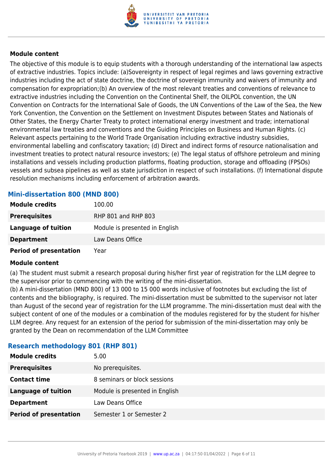

The objective of this module is to equip students with a thorough understanding of the international law aspects of extractive industries. Topics include: (a)Sovereignty in respect of legal regimes and laws governing extractive industries including the act of state doctrine, the doctrine of sovereign immunity and waivers of immunity and compensation for expropriation;(b) An overview of the most relevant treaties and conventions of relevance to extractive industries including the Convention on the Continental Shelf, the OILPOL convention, the UN Convention on Contracts for the International Sale of Goods, the UN Conventions of the Law of the Sea, the New York Convention, the Convention on the Settlement on Investment Disputes between States and Nationals of Other States, the Energy Charter Treaty to protect international energy investment and trade; international environmental law treaties and conventions and the Guiding Principles on Business and Human Rights. (c) Relevant aspects pertaining to the World Trade Organisation including extractive industry subsidies, environmental labelling and confiscatory taxation; (d) Direct and indirect forms of resource nationalisation and investment treaties to protect natural resource investors; (e) The legal status of offshore petroleum and mining installations and vessels including production platforms, floating production, storage and offloading (FPSOs) vessels and subsea pipelines as well as state jurisdiction in respect of such installations. (f) International dispute resolution mechanisms including enforcement of arbitration awards.

#### **Mini-dissertation 800 (MND 800)**

| <b>Module credits</b>         | 100.00                         |
|-------------------------------|--------------------------------|
| <b>Prerequisites</b>          | RHP 801 and RHP 803            |
| Language of tuition           | Module is presented in English |
| <b>Department</b>             | Law Deans Office               |
| <b>Period of presentation</b> | Year                           |

#### **Module content**

(a) The student must submit a research proposal during his/her first year of registration for the LLM degree to the supervisor prior to commencing with the writing of the mini-dissertation.

(b) A mini-dissertation (MND 800) of 13 000 to 15 000 words inclusive of footnotes but excluding the list of contents and the bibliography, is required. The mini-dissertation must be submitted to the supervisor not later than August of the second year of registration for the LLM programme. The mini-dissertation must deal with the subject content of one of the modules or a combination of the modules registered for by the student for his/her LLM degree. Any request for an extension of the period for submission of the mini-dissertation may only be granted by the Dean on recommendation of the LLM Committee

| ---- <i>-</i> --- <i>-</i> -- ---- <i>-</i> --- <i>-</i> ---- |                                |
|---------------------------------------------------------------|--------------------------------|
| <b>Module credits</b>                                         | 5.00                           |
| <b>Prerequisites</b>                                          | No prerequisites.              |
| <b>Contact time</b>                                           | 8 seminars or block sessions   |
| <b>Language of tuition</b>                                    | Module is presented in English |
| <b>Department</b>                                             | Law Deans Office               |
| <b>Period of presentation</b>                                 | Semester 1 or Semester 2       |
|                                                               |                                |

#### **Research methodology 801 (RHP 801)**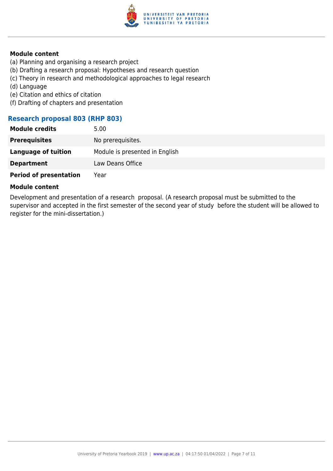

- (a) Planning and organising a research project
- (b) Drafting a research proposal: Hypotheses and research question
- (c) Theory in research and methodological approaches to legal research
- (d) Language
- (e) Citation and ethics of citation
- (f) Drafting of chapters and presentation

#### **Research proposal 803 (RHP 803)**

| <b>Module credits</b>         | 5.00                           |
|-------------------------------|--------------------------------|
| <b>Prerequisites</b>          | No prerequisites.              |
| <b>Language of tuition</b>    | Module is presented in English |
| <b>Department</b>             | Law Deans Office               |
| <b>Period of presentation</b> | Year                           |

#### **Module content**

Development and presentation of a research proposal. (A research proposal must be submitted to the supervisor and accepted in the first semester of the second year of study before the student will be allowed to register for the mini-dissertation.)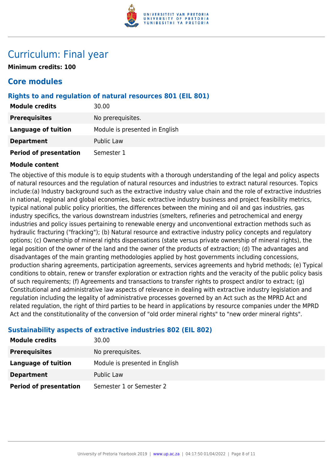

### Curriculum: Final year

**Minimum credits: 100**

### **Core modules**

#### **Rights to and regulation of natural resources 801 (EIL 801)**

| <b>Module credits</b>         | 30.00                          |
|-------------------------------|--------------------------------|
| <b>Prerequisites</b>          | No prerequisites.              |
| <b>Language of tuition</b>    | Module is presented in English |
| <b>Department</b>             | <b>Public Law</b>              |
| <b>Period of presentation</b> | Semester 1                     |

#### **Module content**

The objective of this module is to equip students with a thorough understanding of the legal and policy aspects of natural resources and the regulation of natural resources and industries to extract natural resources. Topics include:(a) Industry background such as the extractive industry value chain and the role of extractive industries in national, regional and global economies, basic extractive industry business and project feasibility metrics, typical national public policy priorities, the differences between the mining and oil and gas industries, gas industry specifics, the various downstream industries (smelters, refineries and petrochemical and energy industries and policy issues pertaining to renewable energy and unconventional extraction methods such as hydraulic fracturing ("fracking"); (b) Natural resource and extractive industry policy concepts and regulatory options; (c) Ownership of mineral rights dispensations (state versus private ownership of mineral rights), the legal position of the owner of the land and the owner of the products of extraction; (d) The advantages and disadvantages of the main granting methodologies applied by host governments including concessions, production sharing agreements, participation agreements, services agreements and hybrid methods; (e) Typical conditions to obtain, renew or transfer exploration or extraction rights and the veracity of the public policy basis of such requirements; (f) Agreements and transactions to transfer rights to prospect and/or to extract; (g) Constitutional and administrative law aspects of relevance in dealing with extractive industry legislation and regulation including the legality of administrative processes governed by an Act such as the MPRD Act and related regulation, the right of third parties to be heard in applications by resource companies under the MPRD Act and the constitutionality of the conversion of "old order mineral rights" to "new order mineral rights".

#### **Sustainability aspects of extractive industries 802 (EIL 802)**

| <b>Module credits</b>         | 30.00                          |
|-------------------------------|--------------------------------|
| <b>Prerequisites</b>          | No prerequisites.              |
| Language of tuition           | Module is presented in English |
| <b>Department</b>             | Public Law                     |
| <b>Period of presentation</b> | Semester 1 or Semester 2       |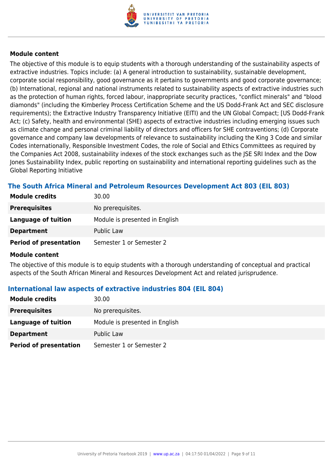

The objective of this module is to equip students with a thorough understanding of the sustainability aspects of extractive industries. Topics include: (a) A general introduction to sustainability, sustainable development, corporate social responsibility, good governance as it pertains to governments and good corporate governance; (b) International, regional and national instruments related to sustainability aspects of extractive industries such as the protection of human rights, forced labour, inappropriate security practices, "conflict minerals" and "blood diamonds" (including the Kimberley Process Certification Scheme and the US Dodd-Frank Act and SEC disclosure requirements); the Extractive Industry Transparency Initiative (EITI) and the UN Global Compact; [US Dodd-Frank Act; (c) Safety, health and environmental (SHE) aspects of extractive industries including emerging issues such as climate change and personal criminal liability of directors and officers for SHE contraventions; (d) Corporate governance and company law developments of relevance to sustainability including the King 3 Code and similar Codes internationally, Responsible Investment Codes, the role of Social and Ethics Committees as required by the Companies Act 2008, sustainability indexes of the stock exchanges such as the JSE SRI Index and the Dow Jones Sustainability Index, public reporting on sustainability and international reporting guidelines such as the Global Reporting Initiative

#### **The South Africa Mineral and Petroleum Resources Development Act 803 (EIL 803)**

| <b>Module credits</b>         | 30.00                          |
|-------------------------------|--------------------------------|
| <b>Prerequisites</b>          | No prerequisites.              |
| Language of tuition           | Module is presented in English |
| <b>Department</b>             | Public Law                     |
| <b>Period of presentation</b> | Semester 1 or Semester 2       |

#### **Module content**

The objective of this module is to equip students with a thorough understanding of conceptual and practical aspects of the South African Mineral and Resources Development Act and related jurisprudence.

#### **International law aspects of extractive industries 804 (EIL 804)**

| <b>Module credits</b>         | 30.00                          |
|-------------------------------|--------------------------------|
| <b>Prerequisites</b>          | No prerequisites.              |
| Language of tuition           | Module is presented in English |
| <b>Department</b>             | Public Law                     |
| <b>Period of presentation</b> | Semester 1 or Semester 2       |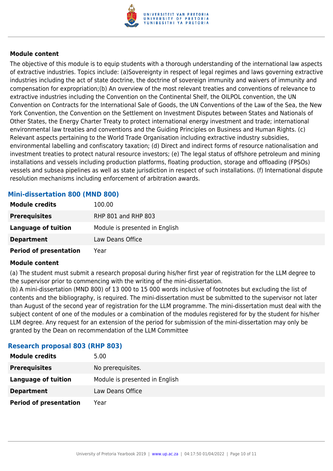

The objective of this module is to equip students with a thorough understanding of the international law aspects of extractive industries. Topics include: (a)Sovereignty in respect of legal regimes and laws governing extractive industries including the act of state doctrine, the doctrine of sovereign immunity and waivers of immunity and compensation for expropriation;(b) An overview of the most relevant treaties and conventions of relevance to extractive industries including the Convention on the Continental Shelf, the OILPOL convention, the UN Convention on Contracts for the International Sale of Goods, the UN Conventions of the Law of the Sea, the New York Convention, the Convention on the Settlement on Investment Disputes between States and Nationals of Other States, the Energy Charter Treaty to protect international energy investment and trade; international environmental law treaties and conventions and the Guiding Principles on Business and Human Rights. (c) Relevant aspects pertaining to the World Trade Organisation including extractive industry subsidies, environmental labelling and confiscatory taxation; (d) Direct and indirect forms of resource nationalisation and investment treaties to protect natural resource investors; (e) The legal status of offshore petroleum and mining installations and vessels including production platforms, floating production, storage and offloading (FPSOs) vessels and subsea pipelines as well as state jurisdiction in respect of such installations. (f) International dispute resolution mechanisms including enforcement of arbitration awards.

#### **Mini-dissertation 800 (MND 800)**

| <b>Module credits</b>         | 100.00                         |
|-------------------------------|--------------------------------|
| <b>Prerequisites</b>          | RHP 801 and RHP 803            |
| Language of tuition           | Module is presented in English |
| <b>Department</b>             | Law Deans Office               |
| <b>Period of presentation</b> | Year                           |

#### **Module content**

(a) The student must submit a research proposal during his/her first year of registration for the LLM degree to the supervisor prior to commencing with the writing of the mini-dissertation.

(b) A mini-dissertation (MND 800) of 13 000 to 15 000 words inclusive of footnotes but excluding the list of contents and the bibliography, is required. The mini-dissertation must be submitted to the supervisor not later than August of the second year of registration for the LLM programme. The mini-dissertation must deal with the subject content of one of the modules or a combination of the modules registered for by the student for his/her LLM degree. Any request for an extension of the period for submission of the mini-dissertation may only be granted by the Dean on recommendation of the LLM Committee

#### **Research proposal 803 (RHP 803)**

| <b>Module credits</b>         | 5.00                           |
|-------------------------------|--------------------------------|
| <b>Prerequisites</b>          | No prerequisites.              |
| Language of tuition           | Module is presented in English |
| <b>Department</b>             | Law Deans Office               |
| <b>Period of presentation</b> | Year                           |